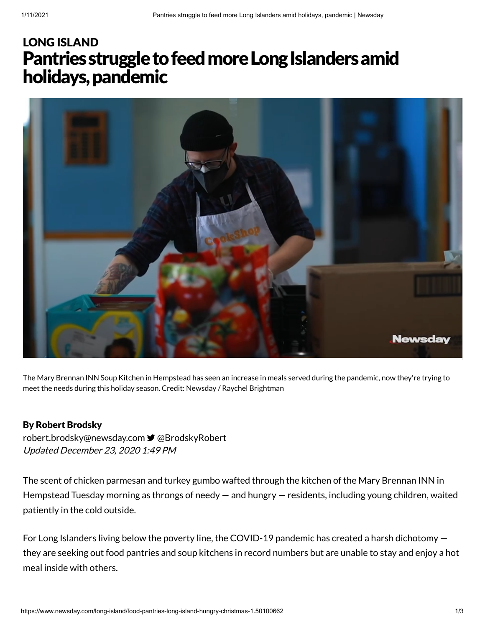# Pantries struggle to feed more Long Islanders amid holidays,pandemic LONG [ISLAND](https://www.newsday.com/long-island)



The Mary Brennan INN Soup Kitchen in Hempstead has seen an increase in meals served during the pandemic, now they're trying to meet the needs during this holiday season. Credit: Newsday / Raychel Brightman

### By Robert Brodsky

Updated December 23, 2020 1:49 PM [robert.brodsky@newsday.com](mailto:robert.brodsky@newsday.com?subject=Pantries%20struggle%20to%20feed%20more%20Long%20Islanders%20amid%20holidays,%20pandemic&body=The%20scent%20of%20chicken%20parmesan%20and%20turkey%20gumbo%20wafted%20through%20the%20kitchen%20of%20the%20Mary%20Brennan%20INN%20in%20Hempstead%20Tuesday%20morning%20as%20throngs%20of%20needy%20%E2%80%94%20and%20hungry%20%E2%80%94%20residents,%20including%20young%20children,%20w%0D%0Ahttps://www.newsday.com/long-island/food-pantries-long-island-hungry-christmas-1.50100662) **■** [@BrodskyRobert](https://twitter.com/BrodskyRobert)

The scent of chicken parmesan and turkey gumbo wafted through the kitchen of the Mary Brennan INN in Hempstead Tuesday morning as throngs of needy — and hungry — residents, including young children, waited patiently in the cold outside.

For Long Islanders living below the poverty line, the COVID-19 pandemic has created a harsh dichotomy they are seeking out food pantries and soup kitchens in record numbers but are unable to stay and enjoy a hot meal inside with others.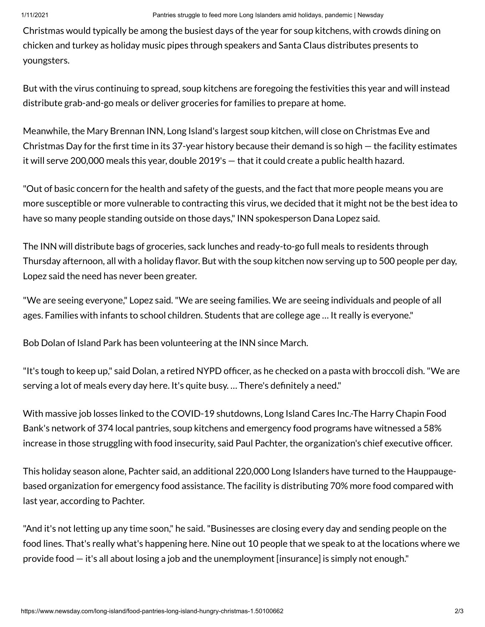Christmas would typically be among the busiest days of the year for soup kitchens, with crowds dining on chicken and turkey as holiday music pipes through speakers and Santa Claus distributes presents to youngsters.

But with the virus continuing to spread, soup kitchens are foregoing the festivities this year and will instead distribute grab-and-go meals or deliver groceries for families to prepare at home.

Meanwhile, the Mary Brennan INN, Long Island's largest soup kitchen, will close on Christmas Eve and Christmas Day for the first time in its 37-year history because their demand is so high  $-$  the facility estimates it will serve 200,000 meals this year, double 2019's — that it could create a public health hazard.

"Out of basic concern for the health and safety of the guests, and the fact that more people means you are more susceptible or more vulnerable to contracting this virus, we decided that it might not be the best idea to have so many people standing outside on those days,"INN spokesperson Dana Lopez said.

The INN will distribute bags of groceries, sack lunches and ready-to-go full meals to residents through Thursday afternoon, all with a holiday flavor. But with the soup kitchen now serving up to 500 people per day, Lopez said the need has never been greater.

"We are seeing everyone," Lopez said."We are seeing families. We are seeing individuals and people of all ages. Families with infants to school children. Students that are college age … It really is everyone."

Bob Dolan of Island Park has been volunteering at the INN since March.

"It's tough to keep up," said Dolan, a retired NYPD officer, as he checked on a pasta with broccoli dish. "We are serving a lot of meals every day here. It's quite busy. ... There's definitely a need."

With massive job losses linked to the COVID-19 shutdowns, Long Island Cares Inc.-The Harry Chapin Food Bank's network of 374 local pantries, soup kitchens and emergency food programs have witnessed a 58% increase in those struggling with food insecurity, said Paul Pachter, the organization's chief executive officer.

This holiday season alone, Pachter said, an additional 220,000 Long Islanders have turned to the Hauppaugebased organization for emergency food assistance. The facility is distributing 70% more food compared with last year, according to Pachter.

"And it's not letting up any time soon," he said."Businesses are closing every day and sending people on the food lines. That's really what's happening here. Nine out 10 people that we speak to at the locations where we provide food — it's all about losing a job and the unemployment [insurance] is simply not enough."